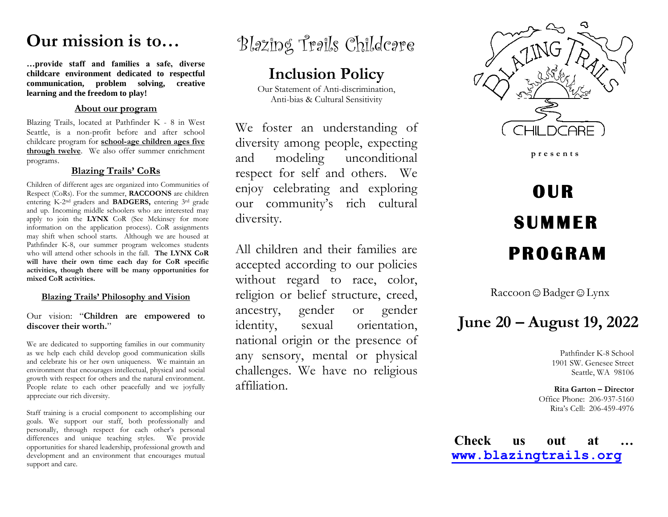# **Our mission is to…**

**…provide staff and families a safe, diverse childcare environment dedicated to respectful communication, problem solving, creative learning and the freedom to play!**

### **About our program**

Blazing Trails, located at Pathfinder K - 8 in West Seattle, is a non-profit before and after school childcare program for **school-age children ages five through twelve**. We also offer summer enrichment programs.

### **Blazing Trails' CoRs**

Children of different ages are organized into Communities of Respect (CoRs). For the summer, **RACCOONS** are children entering K-2nd graders and **BADGERS,** entering 3rd grade and up. Incoming middle schoolers who are interested may apply to join the **LYNX** CoR (See Mckinsey for more information on the application process). CoR assignments may shift when school starts. Although we are housed at Pathfinder K-8, our summer program welcomes students who will attend other schools in the fall. **The LYNX CoR will have their own time each day for CoR specific activities, though there will be many opportunities for mixed CoR activities.**

### **Blazing Trails' Philosophy and Vision**

Our vision: "**Children are empowered to discover their worth.**"

We are dedicated to supporting families in our community as we help each child develop good communication skills and celebrate his or her own uniqueness. We maintain an environment that encourages intellectual, physical and social growth with respect for others and the natural environment. People relate to each other peacefully and we joyfully appreciate our rich diversity.

Staff training is a crucial component to accomplishing our goals. We support our staff, both professionally and personally, through respect for each other's personal differences and unique teaching styles. We provide opportunities for shared leadership, professional growth and development and an environment that encourages mutual support and care.



### **Inclusion Policy**

Our Statement of Anti-discrimination, Anti-bias & Cultural Sensitivity

We foster an understanding of diversity among people, expecting and modeling unconditional respect for self and others. We enjoy celebrating and exploring our community's rich cultural diversity.

All children and their families are accepted according to our policies without regard to race, color, religion or belief structure, creed, ancestry, gender or gender identity, sexual orientation, national origin or the presence of any sensory, mental or physical challenges. We have no religious affiliation.



 **p r e s e n t s**

# **OUR SUMMER PROGRAM**

Raccoon ☺ Badger ☺ Lynx

## **June 20 – August 19, 2022**

Pathfinder K-8 School 1901 SW. Genesee Street Seattle, WA 98106

**Rita Garton – Director** Office Phone: 206-937-5160 Rita's Cell: 206-459-4976

**Check us out at … [www.blazingtrails.org](http://www.blazingtrails.org/)**